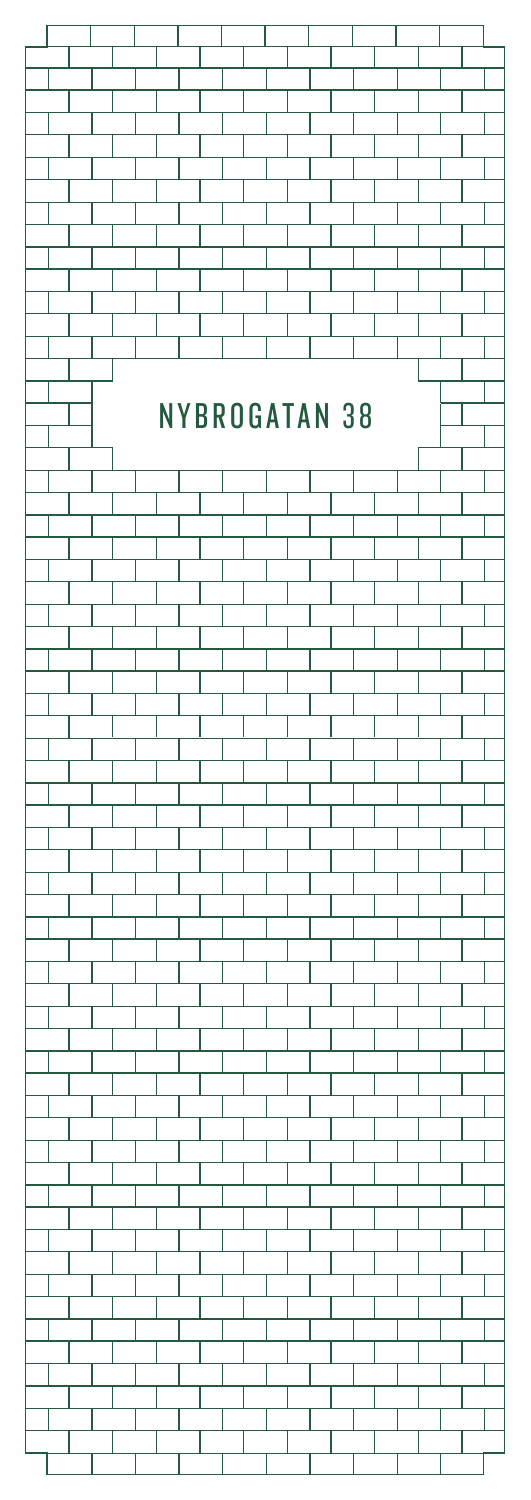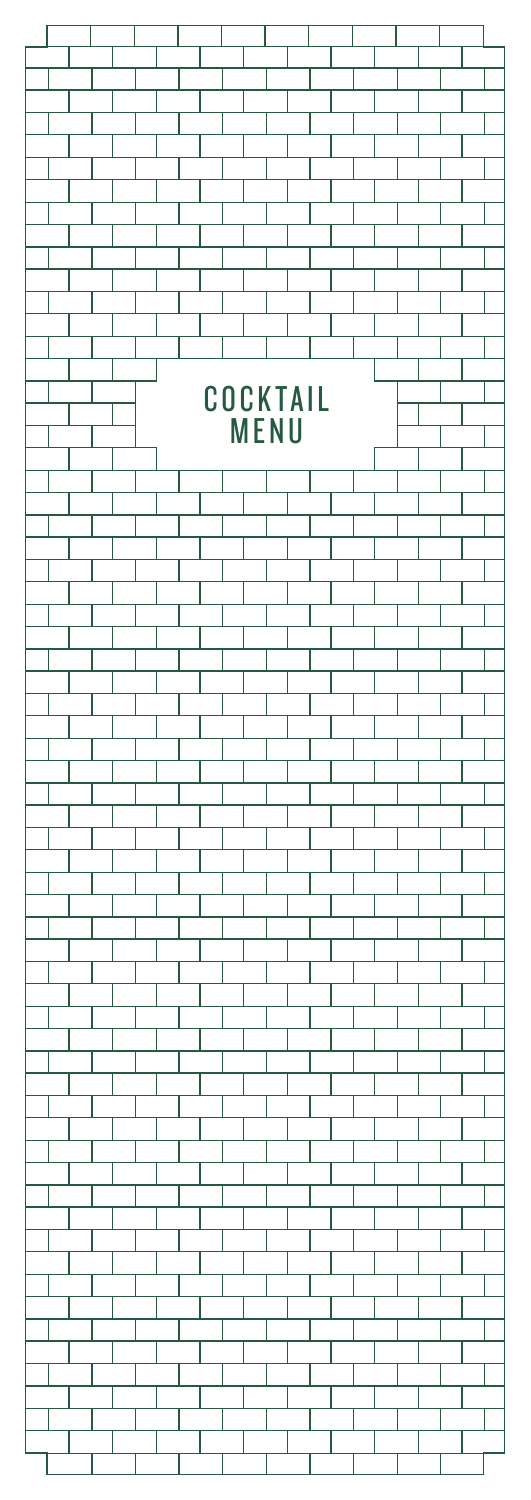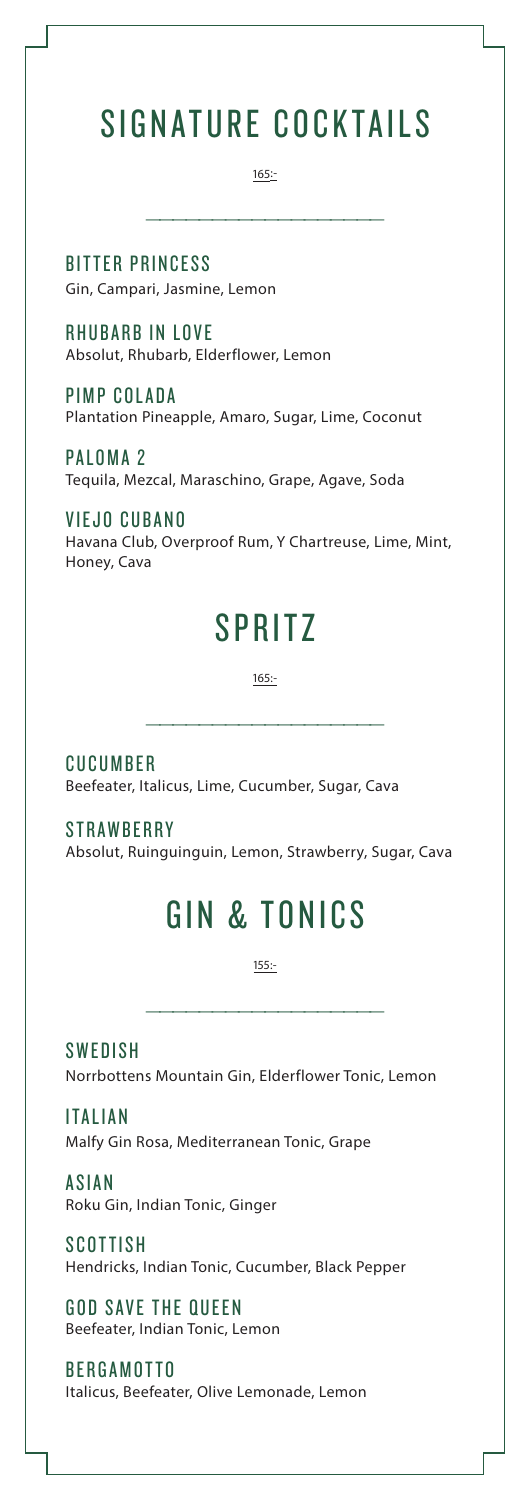# SIGNATURE COCKTAILS

165:-

——————————————————

BITTER PRINCESS Gin, Campari, Jasmine, Lemon

RHUBARB IN LOVE Absolut, Rhubarb, Elderflower, Lemon

PIMP COLADA Plantation Pineapple, Amaro, Sugar, Lime, Coconut

PALOMA 2 Tequila, Mezcal, Maraschino, Grape, Agave, Soda

VIEJO CUBANO Havana Club, Overproof Rum, Y Chartreuse, Lime, Mint, Honey, Cava

### SPRITZ

165:-

——————————————————

CUCUMBER Beefeater, Italicus, Lime, Cucumber, Sugar, Cava

**STRAWBERRY** 

Absolut, Ruinguinguin, Lemon, Strawberry, Sugar, Cava

# GIN & TONICS

155:-

——————————————————

**SWEDISH** Norrbottens Mountain Gin, Elderflower Tonic, Lemon

**ITALIAN** Malfy Gin Rosa, Mediterranean Tonic, Grape

**ASIAN** Roku Gin, Indian Tonic, Ginger

**SCOTTISH** Hendricks, Indian Tonic, Cucumber, Black Pepper

GOD SAVE THE QUEEN Beefeater, Indian Tonic, Lemon

BERGAMOTTO Italicus, Beefeater, Olive Lemonade, Lemon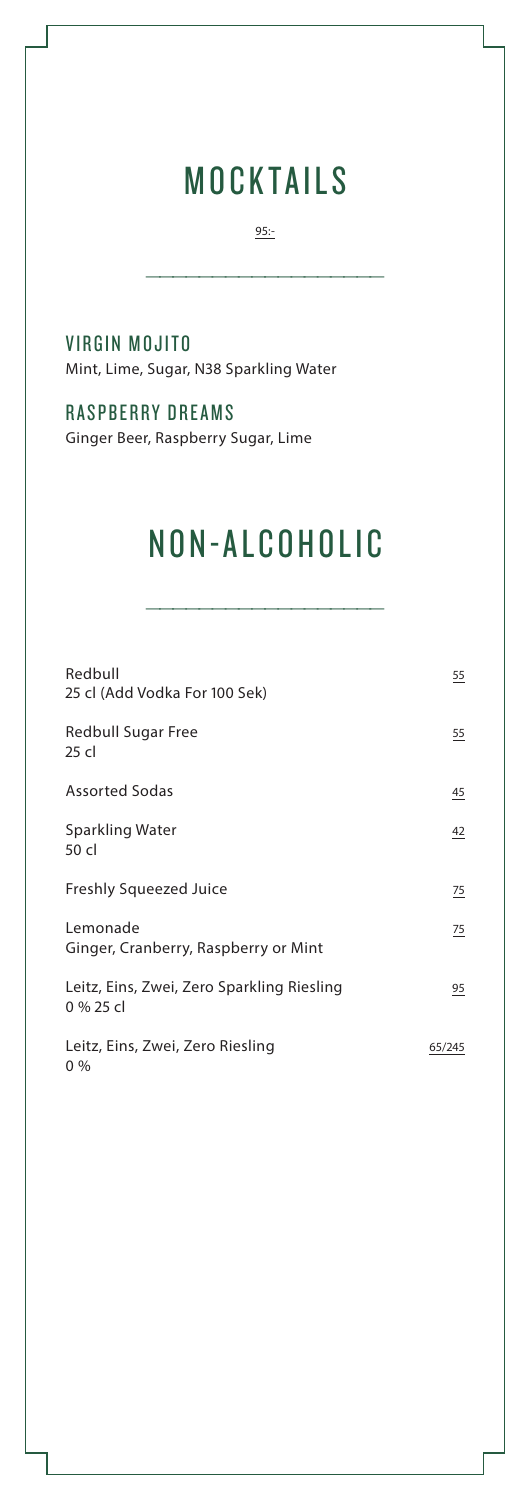# MOCKTAILS

95:-

——————————————————

VIRGIN MOJITO

Mint, Lime, Sugar, N38 Sparkling Water

#### RASPBERRY DREAMS

Ginger Beer, Raspberry Sugar, Lime

# NON-ALCOHOLIC

——————————————————

| Redbull<br>25 cl (Add Vodka For 100 Sek)                | $\overline{55}$ |
|---------------------------------------------------------|-----------------|
| Redbull Sugar Free<br>25 cl                             | $\overline{55}$ |
| <b>Assorted Sodas</b>                                   | $\overline{45}$ |
| Sparkling Water<br>50 cl                                | 42              |
| <b>Freshly Squeezed Juice</b>                           | 75              |
| Lemonade<br>Ginger, Cranberry, Raspberry or Mint        | 75              |
| Leitz, Eins, Zwei, Zero Sparkling Riesling<br>0 % 25 cl | 95              |
| Leitz, Eins, Zwei, Zero Riesling<br>$0\%$               | 65/245          |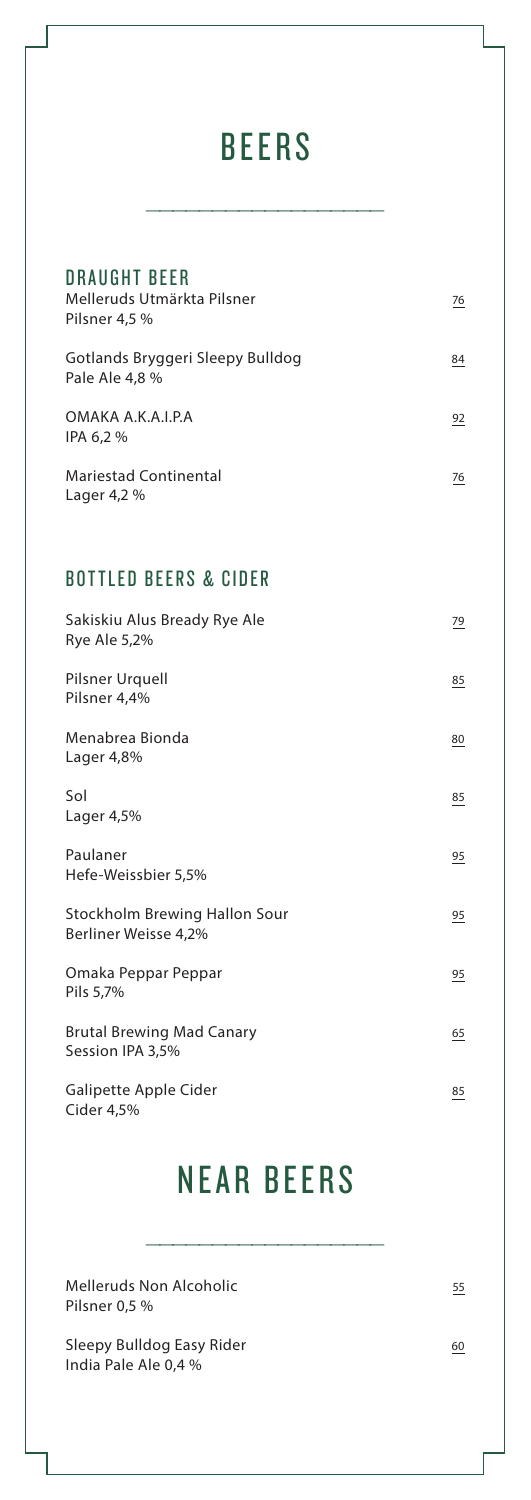# **BEERS**

——————————————————

| <b>DRAUGHT BEER</b><br>Melleruds Utmärkta Pilsner<br>Pilsner 4,5 % | 76 |
|--------------------------------------------------------------------|----|
| Gotlands Bryggeri Sleepy Bulldog<br>Pale Ale 4,8 %                 | 84 |
| OMAKA A.K.A.I.P.A<br>IPA 6,2 %                                     | 92 |
| <b>Mariestad Continental</b><br>Lager 4,2 %                        | 76 |
| <b>BOTTLED BEERS &amp; CIDER</b>                                   |    |
| Sakiskiu Alus Bready Rye Ale<br>Rye Ale 5,2%                       | 79 |
| Pilsner Urquell<br>Pilsner 4,4%                                    | 85 |
| Menabrea Bionda<br>Lager $4,8\%$                                   | 80 |

 $Sol$ Lager 4,5% Paulaner 95 Hefe-Weissbier 5,5% Stockholm Brewing Hallon Sour 95 Berliner Weisse 4,2% Omaka Peppar Peppar **95** Pils 5,7% Brutal Brewing Mad Canary 65 Session IPA 3,5% Galipette Apple Cider 85

## NEAR BEERS

——————————————————

Melleruds Non Alcoholic 65 Pilsner 0,5 %

Cider 4,5%

Sleepy Bulldog Easy Rider 60 India Pale Ale 0,4 %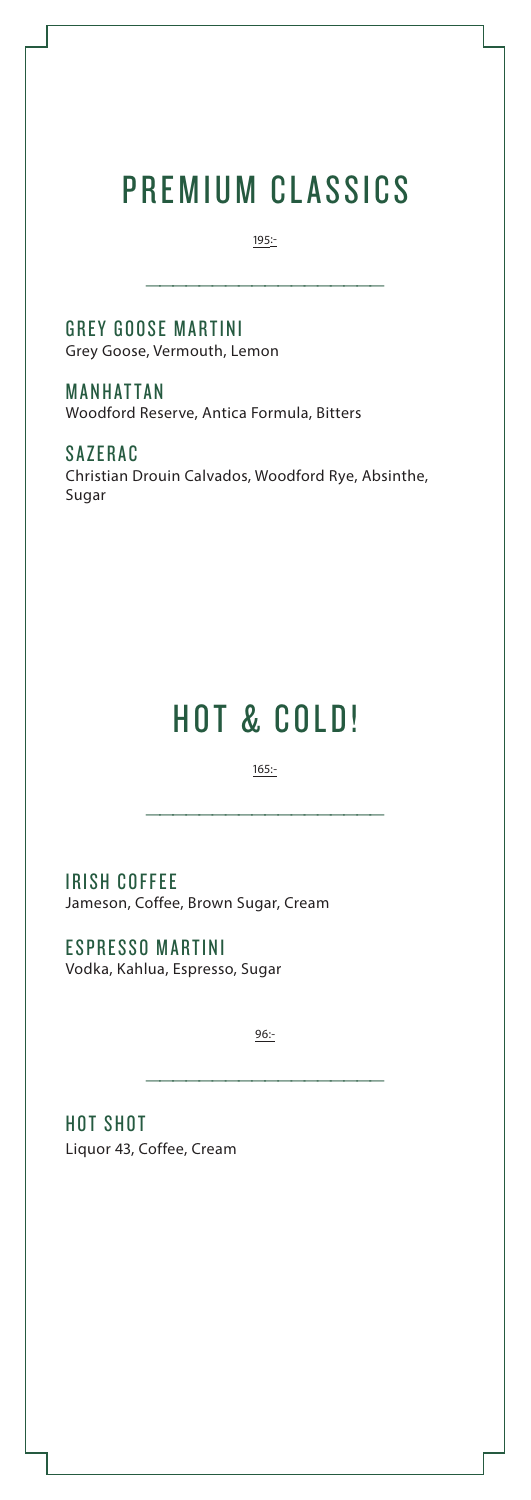# PREMIUM CLASSICS

195:-

——————————————————

GREY GOOSE MARTINI Grey Goose, Vermouth, Lemon

MANHATTAN Woodford Reserve, Antica Formula, Bitters

SAZERAC Christian Drouin Calvados, Woodford Rye, Absinthe, Sugar

### HOT & COLD!

165:-

——————————————————

IRISH COFFEE Jameson, Coffee, Brown Sugar, Cream

ESPRESSO MARTINI Vodka, Kahlua, Espresso, Sugar

96:-

——————————————————

HOT SHOT Liquor 43, Coffee, Cream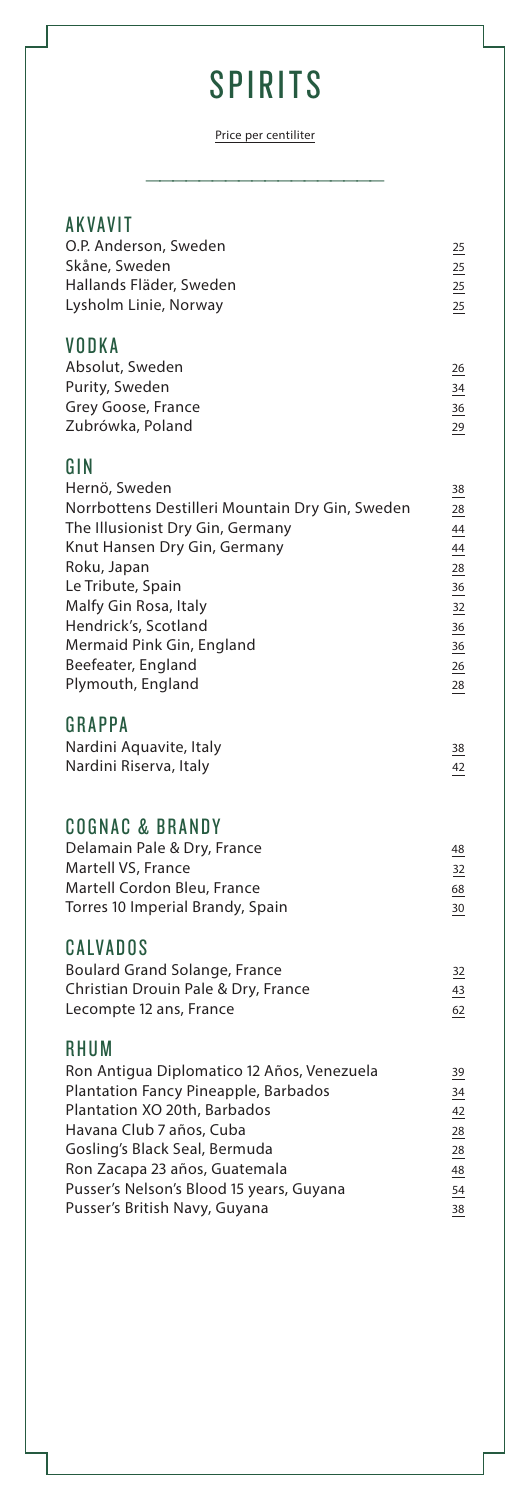# **SPIRITS**

Price per centiliter

——————————————————

| <b>AKVAVIT</b><br>O.P. Anderson, Sweden<br>Skåne, Sweden<br>Hallands Fläder, Sweden<br>Lysholm Linie, Norway                                                                                                                                                                                             | 25<br>25<br>25<br>25                                           |
|----------------------------------------------------------------------------------------------------------------------------------------------------------------------------------------------------------------------------------------------------------------------------------------------------------|----------------------------------------------------------------|
| VODKA<br>Absolut, Sweden<br>Purity, Sweden<br>Grey Goose, France<br>Zubrówka, Poland                                                                                                                                                                                                                     | 26<br>34<br>36<br>29                                           |
| GIN<br>Hernö, Sweden<br>Norrbottens Destilleri Mountain Dry Gin, Sweden<br>The Illusionist Dry Gin, Germany<br>Knut Hansen Dry Gin, Germany<br>Roku, Japan<br>Le Tribute, Spain<br>Malfy Gin Rosa, Italy<br>Hendrick's, Scotland<br>Mermaid Pink Gin, England<br>Beefeater, England<br>Plymouth, England | 38<br>28<br>44<br>44<br>28<br>36<br>32<br>36<br>36<br>26<br>28 |
| GRAPPA<br>Nardini Aquavite, Italy<br>Nardini Riserva, Italy                                                                                                                                                                                                                                              | 38<br>42                                                       |
| <b>COGNAC &amp; BRANDY</b><br>Delamain Pale & Dry, France<br>Martell VS, France<br>Martell Cordon Bleu, France<br>Torres 10 Imperial Brandy, Spain<br>CALVADOS                                                                                                                                           | 48<br>32<br>68<br>30                                           |
| <b>Boulard Grand Solange, France</b><br>Christian Drouin Pale & Dry, France<br>Lecompte 12 ans, France                                                                                                                                                                                                   | 32<br>43<br>62                                                 |
| RHUM<br>Ron Antigua Diplomatico 12 Años, Venezuela<br>Plantation Fancy Pineapple, Barbados<br>Plantation XO 20th, Barbados<br>Havana Club 7 años, Cuba<br>Gosling's Black Seal, Bermuda<br>Ron Zacapa 23 años, Guatemala<br>Pusser's Nelson's Blood 15 years, Guyana<br>Pusser's British Navy, Guyana    | 39<br>34<br>42<br>28<br>28<br>48<br>54<br>38                   |